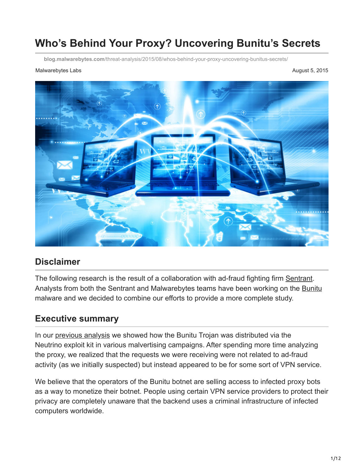# **Who's Behind Your Proxy? Uncovering Bunitu's Secrets**

**blog.malwarebytes.com**[/threat-analysis/2015/08/whos-behind-your-proxy-uncovering-bunitus-secrets/](https://blog.malwarebytes.com/threat-analysis/2015/08/whos-behind-your-proxy-uncovering-bunitus-secrets/)

#### Malwarebytes Labs **August 5, 2015** August 5, 2015



### **Disclaimer**

The following research is the result of a collaboration with ad-fraud fighting firm [Sentrant.](http://sentrant.com/) Analysts from both the Sentrant and Malwarebytes teams have been working on the [Bunitu](https://blog.malwarebytes.org/intelligence/2015/07/revisiting-the-bunitu-trojan/) malware and we decided to combine our efforts to provide a more complete study.

### **Executive summary**

In our [previous analysis](https://blog.malwarebytes.org/intelligence/2015/07/revisiting-the-bunitu-trojan/) we showed how the Bunitu Trojan was distributed via the Neutrino exploit kit in various malvertising campaigns. After spending more time analyzing the proxy, we realized that the requests we were receiving were not related to ad-fraud activity (as we initially suspected) but instead appeared to be for some sort of VPN service.

We believe that the operators of the Bunitu botnet are selling access to infected proxy bots as a way to monetize their botnet. People using certain VPN service providers to protect their privacy are completely unaware that the backend uses a criminal infrastructure of infected computers worldwide.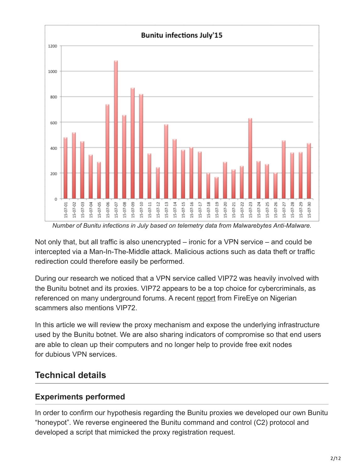

*Number of Bunitu infections in July based on telemetry data from Malwarebytes Anti-Malware.*

Not only that, but all traffic is also unencrypted – ironic for a VPN service – and could be intercepted via a Man-In-The-Middle attack. Malicious actions such as data theft or traffic redirection could therefore easily be performed.

During our research we noticed that a VPN service called VIP72 was heavily involved with the Bunitu botnet and its proxies. VIP72 appears to be a top choice for cybercriminals, as referenced on many underground forums. A recent [report](https://www2.fireeye.com/rs/%20848-DID-%20242/images/rpt_nigerian-scammers.pdf) from FireEye on Nigerian scammers also mentions VIP72.

In this article we will review the proxy mechanism and expose the underlying infrastructure used by the Bunitu botnet. We are also sharing indicators of compromise so that end users are able to clean up their computers and no longer help to provide free exit nodes for dubious VPN services.

### **Technical details**

### **Experiments performed**

In order to confirm our hypothesis regarding the Bunitu proxies we developed our own Bunitu "honeypot". We reverse engineered the Bunitu command and control (C2) protocol and developed a script that mimicked the proxy registration request.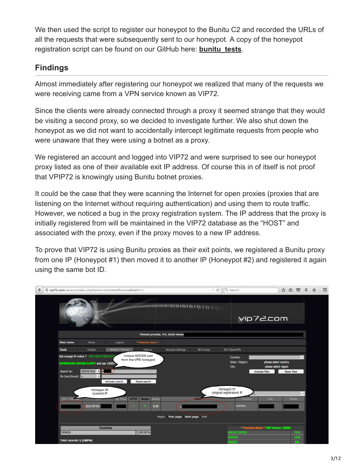We then used the script to register our honeypot to the Bunitu C2 and recorded the URLs of all the requests that were subsequently sent to our honeypot. A copy of the honeypot registration script can be found on our GitHub here: **[bunitu\\_tests](https://github.com/hasherezade/bunitu_tests)**.

### **Findings**

Almost immediately after registering our honeypot we realized that many of the requests we were receiving came from a VPN service known as VIP72.

Since the clients were already connected through a proxy it seemed strange that they would be visiting a second proxy, so we decided to investigate further. We also shut down the honeypot as we did not want to accidentally intercept legitimate requests from people who were unaware that they were using a botnet as a proxy.

We registered an account and logged into VIP72 and were surprised to see our honeypot proxy listed as one of their available exit IP address. Of course this in of itself is not proof that VPIP72 is knowingly using Bunitu botnet proxies.

It could be the case that they were scanning the Internet for open proxies (proxies that are listening on the Internet without requiring authentication) and using them to route traffic. However, we noticed a bug in the proxy registration system. The IP address that the proxy is initially registered from will be maintained in the VIP72 database as the "HOST" and associated with the proxy, even if the proxy moves to a new IP address.

To prove that VIP72 is using Bunitu proxies as their exit points, we registered a Bunitu proxy from one IP (Honeypot #1) then moved it to another IP (Honeypot #2) and registered it again using the same bot ID.

| $\mathop{\nabla}\, \mathbf{C}^t$<br>vip72.com/access/index.php?action=SocksAndProxies&RealIP=1<br>€                                       | Q Search<br>J.<br>$\equiv$<br>$\circ$<br>☆<br>自<br>合                                                  |
|-------------------------------------------------------------------------------------------------------------------------------------------|-------------------------------------------------------------------------------------------------------|
|                                                                                                                                           | vip72.com                                                                                             |
| Viewed proxies: 540, Limit views:                                                                                                         |                                                                                                       |
| * Premium Zone *<br>Logout<br><b>Main menu</b><br>Home                                                                                    |                                                                                                       |
| Socks / Proxy<br><b>Tickets</b><br><b>History</b><br><b>Account Settings</b><br><b>Tools</b><br><b>BUY</b> praxy                          | <b>BUY OpenVPN</b>                                                                                    |
| Unique SOCKS port<br>Not enough IP online ? YOU HAVE FREE ACC<br>from the VPS honeypot<br>DOWNLOAD SOCKS CLIENT and use 15000+            | $\mathbf{r}$<br>Country:<br>State \ Region:<br>please select country<br>City:<br>please select region |
| SOCKS Port <a><br/>Search by:<br/>On Line (hours): <math>\leq</math><br/><math>\mathbf{r}</math><br/>Reset search<br/>Activate search</a> | <b>Reset filter</b><br><b>Activate filter</b>                                                         |
| Honeypot #2<br>(current) IP                                                                                                               | Honeypot #1<br>(original registration) IP<br>회                                                        |
| $IP$   Ch<br><b>Socks</b><br>Reply<br><b>HOST</b><br><b>HTTP</b><br><b>Up Time</b><br>2015-07-01 (<br>0.00<br>о                           | <b>State</b><br><b>Country</b><br><b>City</b><br><b>CANADA</b>                                        |
| Begin Prev page Next page End                                                                                                             |                                                                                                       |
| <b>Countries</b><br>1 100.00 %<br><b>CANADA</b>                                                                                           | * Premium Zone * TOP Online: 18983<br><b>INITED STATES</b><br>7433                                    |
| <b>Total records: 1 (100%)</b>                                                                                                            | CANADA<br>1586<br>RANCE                                                                               |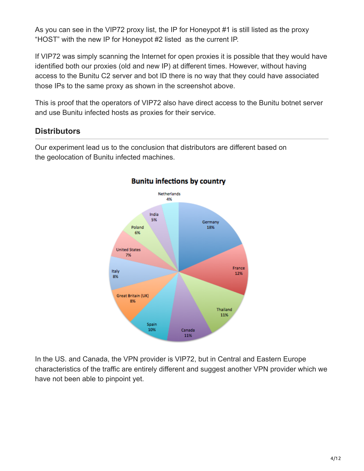As you can see in the VIP72 proxy list, the IP for Honeypot #1 is still listed as the proxy "HOST" with the new IP for Honeypot #2 listed as the current IP.

If VIP72 was simply scanning the Internet for open proxies it is possible that they would have identified both our proxies (old and new IP) at different times. However, without having access to the Bunitu C2 server and bot ID there is no way that they could have associated those IPs to the same proxy as shown in the screenshot above.

This is proof that the operators of VIP72 also have direct access to the Bunitu botnet server and use Bunitu infected hosts as proxies for their service.

### **Distributors**

Our experiment lead us to the conclusion that distributors are different based on the geolocation of Bunitu infected machines.



### **Bunitu infections by country**

In the US. and Canada, the VPN provider is VIP72, but in Central and Eastern Europe characteristics of the traffic are entirely different and suggest another VPN provider which we have not been able to pinpoint yet.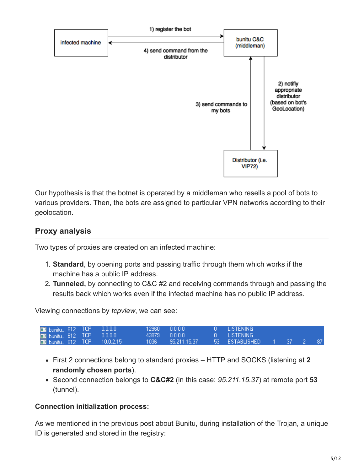

Our hypothesis is that the botnet is operated by a middleman who resells a pool of bots to various providers. Then, the bots are assigned to particular VPN networks according to their geolocation.

### **Proxy analysis**

Two types of proxies are created on an infected machine:

- 1. **Standard**, by opening ports and passing traffic through them which works if the machine has a public IP address.
- 2. **Tunneled,** by connecting to C&C #2 and receiving commands through and passing the results back which works even if the infected machine has no public IP address.

Viewing connections by *tcpview*, we can see:

| <b>Di</b> bunitu 612 TCP 0.0.0.0   |  | .12960 0.0.0.0    | - O LISTENING            |  |  |
|------------------------------------|--|-------------------|--------------------------|--|--|
| <b>Di</b> bunitu 612 TCP  0.0.0.0  |  | 43879 0000        | . A LISTENING            |  |  |
| <b>Ed bunitu 612 TCP 10.0.2.15</b> |  | 1036 95.211.15.37 | 53 ESTABLISHED 1 37 2 87 |  |  |

- First 2 connections belong to standard proxies HTTP and SOCKS (listening at **2 randomly chosen ports**).
- Second connection belongs to **C&C#2** (in this case: *95.211.15.37*) at remote port **53** (tunnel).

#### **Connection initialization process:**

As we mentioned in the previous post about Bunitu, during installation of the Trojan, a unique ID is generated and stored in the registry: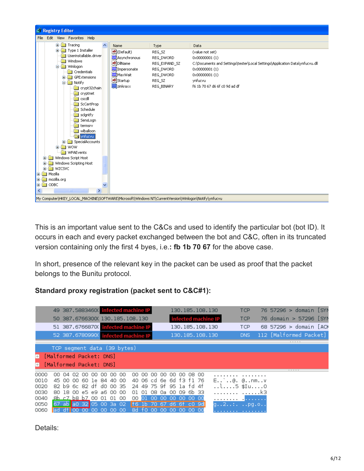| <b>B</b> Registry Editor                                                                                                                                                                                                                                                                                                                                                                                                                                                                                         |                                                                                                                                        |                                                                                        |                                                                                                                                                                                                          |
|------------------------------------------------------------------------------------------------------------------------------------------------------------------------------------------------------------------------------------------------------------------------------------------------------------------------------------------------------------------------------------------------------------------------------------------------------------------------------------------------------------------|----------------------------------------------------------------------------------------------------------------------------------------|----------------------------------------------------------------------------------------|----------------------------------------------------------------------------------------------------------------------------------------------------------------------------------------------------------|
| File Edit View Favorites Help                                                                                                                                                                                                                                                                                                                                                                                                                                                                                    |                                                                                                                                        |                                                                                        |                                                                                                                                                                                                          |
| E- <b>M</b> Tracing<br>ㅅ                                                                                                                                                                                                                                                                                                                                                                                                                                                                                         | Name                                                                                                                                   | Type                                                                                   | Data                                                                                                                                                                                                     |
| Type 1 Installer<br>Ŧ<br>Userinstallable.driver<br>Windows<br><b>E</b> - <b>M</b> Winlogon<br>Credentials<br>GPExtensions<br>œ<br><b>E-M</b> Notify<br>crypt32chain<br>cryptnet<br>cscdll<br>ScCertProp<br>Schedule<br>sclantfy<br>SensLogn<br>termsrv<br>wlballoon<br>strivnfucvu<br>SpecialAccounts<br>œ<br><b>WOW</b><br>Œ.<br><b>WPAEvents</b><br>Windows Script Host<br>Ŧ<br>Windows Scripting Host<br>WZCSVC<br>田<br>Mozilla<br>⊞<br>mozilla.org<br>œ.<br>ODBC<br>口器<br>∢<br>$\rightarrow$<br><b>TITLE</b> | en](Default)<br><b>BU</b> Asynchronous<br>ab]DllName<br><b>BU</b> Impersonate<br><b>RU</b> MaxWait<br>ab]Startup<br><b>RU</b> zinkraxx | REG_SZ<br>REG_DWORD<br>REG_EXPAND_SZ<br>REG_DWORD<br>REG_DWORD<br>REG_SZ<br>REG_BINARY | (value not set)<br>0x00000001(1)<br>C:\Documents and Settings\tester\Local Settings\Application Data\ynfucvu.dll<br>$0 \times 000000001(1)$<br>0x00000001(1)<br>ynfucvu<br>f6 1b 70 67 d6 6f c0 9d ad df |
| My Computer\HKEY_LOCAL_MACHINE\SOFTWARE\Microsoft\Windows NT\CurrentVersion\Winlogon\Notify\ynfucvu                                                                                                                                                                                                                                                                                                                                                                                                              |                                                                                                                                        |                                                                                        |                                                                                                                                                                                                          |

This is an important value sent to the C&Cs and used to identify the particular bot (bot ID). It occurs in each and every packet exchanged between the bot and C&C, often in its truncated version containing only the first 4 byes, i.e.**: fb 1b 70 67** for the above case.

In short, presence of the relevant key in the packet can be used as proof that the packet belongs to the Bunitu protocol.

#### **Standard proxy registration (packet sent to C&C#1):**

|        | 49 387.58834600 infected machine IP |     |     |     |    |    |    |      |       |     |          |        |                         |        | 130.185.108.130     |                                                 | <b>TCP</b> | 76 57296 > domain [SYN |  |  |
|--------|-------------------------------------|-----|-----|-----|----|----|----|------|-------|-----|----------|--------|-------------------------|--------|---------------------|-------------------------------------------------|------------|------------------------|--|--|
|        | 50 387.6766300(130.185.108.130      |     |     |     |    |    |    |      |       |     |          |        |                         |        | infected machine IP |                                                 | <b>TCP</b> | 76 domain > 57296 [SYN |  |  |
|        | 51 387.6766870(infected machine IP  |     |     |     |    |    |    |      |       |     |          |        |                         |        | 130.185.108.130     |                                                 | <b>TCP</b> | 68 57296 > domain [ACK |  |  |
|        | 52 387.6780990(infected machine IP  |     |     |     |    |    |    |      |       |     |          |        |                         |        | 130.185.108.130     |                                                 | DNS        | 112 [Malformed Packet] |  |  |
|        |                                     |     |     |     |    |    |    |      |       |     |          |        |                         |        |                     |                                                 |            |                        |  |  |
|        | TCP segment data (39 bytes)         |     |     |     |    |    |    |      |       |     |          |        |                         |        |                     |                                                 |            |                        |  |  |
| $+$    | [Malformed Packet: DNS]             |     |     |     |    |    |    |      |       |     |          |        |                         |        |                     |                                                 |            |                        |  |  |
| $^{+}$ | 「Malformed Packet: DNS]             |     |     |     |    |    |    |      |       |     |          |        |                         |        |                     |                                                 |            |                        |  |  |
|        |                                     |     |     |     |    |    |    |      |       |     |          |        |                         |        |                     |                                                 |            |                        |  |  |
| 0000   | ററ<br>04                            | 02. | 00. | 00. | 00 | OO | 00 | 00.  | 00    | 00. | ററ       | ററ     | 00                      | O8 OO  |                     |                                                 |            |                        |  |  |
| 0010   | 45 00 00 60 le 84 40 00             |     |     |     |    |    |    |      |       |     |          |        | 40 06 cd 6e 6d f3 f1 76 |        |                     | $E$ @. @nmv                                     |            |                        |  |  |
| 0020   | 82 b9 6c 82 df d0 00 35             |     |     |     |    |    |    |      |       |     |          |        | 24 49 75 9f 95 1a fd 4f |        |                     | l5 \$IuO                                        |            |                        |  |  |
| 0030   | 80 18 00 e5 e9 a6 00 00             |     |     |     |    |    |    |      | 01 01 |     |          |        | 08 0a 00 09 6b 33       |        |                     | .   k3                                          |            |                        |  |  |
| 0040   | <u>8b c7 b8 b7 00 01 01 00</u>      |     |     |     |    |    |    | 00   |       | രര  | -00.     | -00.   | -00-                    | -00-00 |                     | . <mark>.</mark> .                              |            |                        |  |  |
| 0050   | 67 ab a0 32 05 00 3a 02             |     |     |     |    |    |    | $+6$ |       |     | 67       | -d6    | 6t c0 9d                |        |                     | $q_{+1}, 2, \ldots, q_{1}, q_{2}, q_{3}, q_{4}$ |            |                        |  |  |
| 0060   | ad dt 00 00 00 00 00 00             |     |     |     |    |    |    | 8d   |       |     | 10 00 00 | -00-00 |                         | 00 00  |                     | .                                               |            |                        |  |  |

Details: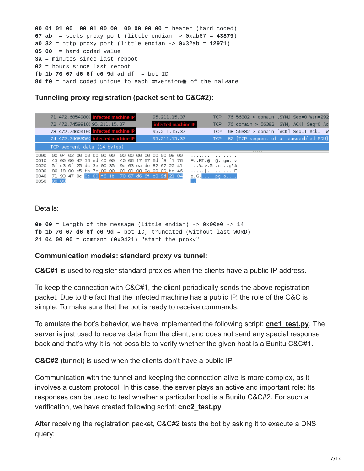```
00 01 01 00 00 01 00 00 00 00 00 00 = header (hard coded)
67 ab = socks proxy port (little endian -> 0xab67 = 43879)
a0 32 = http proxy port (little endian -> 0x32ab = 12971)
05 00 = hard coded value
3a = minutes since last reboot
02 = hours since last reboot
fb 1b 70 67 d6 6f c0 9d ad df = bot ID
8d f0 = hard coded unique to each \equiv version\bf{m} of the malware
```
#### **Tunneling proxy registration (packet sent to C&C#2):**

|      | 71 472.6854980( infected machine IP                  | 95.211.15.37            | TCP 76 56382 > domain [SYN] Seq=0 Win=292 |
|------|------------------------------------------------------|-------------------------|-------------------------------------------|
|      | 72 472.7459910(95.211.15.37                          | infected machine IP     | TCP 76 domain > 56382 [SYN, ACK] Seq=0 Ac |
|      | 73 472.7460410( infected machine IP                  | 95.211.15.37            | TCP 68 56382 > domain [ACK] Seq=1 Ack=1 W |
|      | 74 472.7468350( infected machine IP                  | 95.211.15.37            | TCP 82 [TCP segment of a reassembled PDU] |
|      | TCP segment data (14 bytes)                          |                         |                                           |
| 0000 | 00 04 02 00 00 00 00 00                              | 00 00 00 00 00 00 08 00 | <br>.                                     |
| 0010 | 45 00 00 42 54 ed 40 00 40 06 17 67 6d f3 f1 76      |                         | EBT.@. @gmv                               |
|      | 0020 5f d3 Of 25 dc 3e 00 35 9c 63 ea de 82 67 22 41 |                         | $$ %.>.5.cg"A                             |
|      | 0030 80 18 00 e5 fb 7c 00 00 01 01 08 0a 00 09 be 46 |                         | .   F                                     |
|      | 0040 71 93 47 0c 0e 00 f6 1b 70 67 d6 6f c0 9d 21 04 |                         | $q. G. \ldots$ pg.o!.                     |
| 0050 | 00 00                                                |                         |                                           |

#### Details:

```
0e 00 = Length of the message (little endian) -> 0x00e0 -> 14
fb 1b 70 67 d6 6f c0 9d = bot ID, truncated (without last WORD)
21 04 00 00 = command (0x0421) "start the proxy"
```
#### **Communication models: standard proxy vs tunnel:**

**C&C#1** is used to register standard proxies when the clients have a public IP address.

To keep the connection with C&C#1, the client periodically sends the above registration packet. Due to the fact that the infected machine has a public IP, the role of the C&C is simple: To make sure that the bot is ready to receive commands.

To emulate the bot's behavior, we have implemented the following script: **[cnc1\\_test.py](https://github.com/hasherezade/bunitu_tests/blob/master/cnc1_test.py)**. The server is just used to receive data from the client, and does not send any special response back and that's why it is not possible to verify whether the given host is a Bunitu C&C#1.

**C&C#2** (tunnel) is used when the clients don't have a public IP

Communication with the tunnel and keeping the connection alive is more complex, as it involves a custom protocol. In this case, the server plays an active and important role: Its responses can be used to test whether a particular host is a Bunitu C&C#2. For such a verification, we have created following script: **[cnc2\\_test.py](https://github.com/hasherezade/bunitu_tests/blob/master/cnc1_test.py)**

After receiving the registration packet, C&C#2 tests the bot by asking it to execute a DNS query: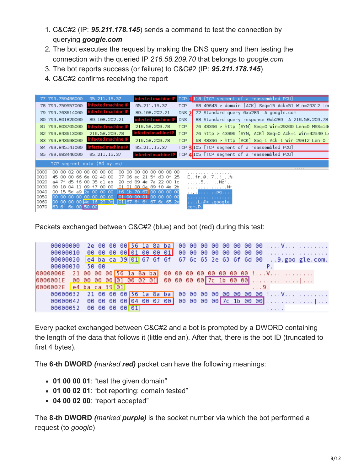- 1. C&C#2 (IP: *95.211.178.145*) sends a command to test the connection by querying *google.com*
- 2. The bot executes the request by making the DNS query and then testing the connection with the queried IP *216.58.209.70* that belongs to *google.com*
- 3. The bot reports success (or failure) to C&C#2 (IP: *95.211.178.145*)
- 4. C&C#2 confirms receiving the report

|       | 77 799.759486000        | 95.211.15.37                  | infected machine IP<br>TCP 1118 [TCP segment of a reassembled PDU]                      |
|-------|-------------------------|-------------------------------|-----------------------------------------------------------------------------------------|
|       | 78 799.759557000        | infected machine IP           | 68 49643 > domain [ACK] Seq=15 Ack=51 Win=29312 Ler<br>95.211.15.37<br>TCP              |
|       | 79 799.763614000        | infected machine IP           | 72 Standard query 0xb289 A google.com<br>89.108.202.21<br>DNS 2I                        |
|       | 80 799.801820000        | 89.108.202.21                 | infected machine IP<br>88 Standard query response 0xb289 A 216.58.209.78<br><b>DNS</b>  |
|       | 81 799.803705000        | infected machine IP           | 76 43396 > http [SYN] Seq=0 Win=29200 Len=0 MSS=14<br>216.58.209.78<br><b>TCP</b>       |
|       | 82 799.843613000        | 216.58.209.78                 | infected machine IP<br>76 http > 43396 [SYN, ACK] Seq=0 Ack=1 Win=42540 L<br><b>TCP</b> |
|       | 83 799.843698000        | infected machine IP           | 68 43396 > http [ACK] Seq=1 Ack=1 Win=29312 Len=0<br>216.58.209.78<br><b>TCP</b>        |
|       | 84 799.845141000        | infected machine IP           | TCP 3 105 [TCP segment of a reassembled PDU]<br>95.211.15.37                            |
|       | 85 799.983446000        | 95.211.15.37                  | TCP 4 105 [TCP seqment of a reassembled PDU]<br>infected machine I                      |
|       |                         | TCP segment data (50 bytes)   |                                                                                         |
| 10000 | 00.<br>ററ               | 02 00 00 00 00 00<br>00<br>ററ | <br>00 00 00 08 00<br>ററ                                                                |
| 0010  | 45 00 00 66 6e 02 40 00 |                               | .<br>37 06 ec 21 5f d3 0f 25<br>E., fm.@. 7!%                                           |
| 0020  | a4 7f d5 f6 00 35 cl eb | 20 cd                         | 89<br>7a 22 00 lc<br>5 Nz"<br>4e                                                        |
| 0030  | 80 18 04 11 09 f7 00 00 |                               | 01 01 08 0a 89 f0 4e 2b<br>. N+                                                         |
| 10040 | 00 15 5d a9 2e 00 00 00 |                               | 16 1b 70 67 00 00 00 00                                                                 |
| 0050  | 00 00 00 00 00 00 00 00 |                               | 01 00 00 01 00 00<br>-00-00<br>.                                                        |
| 10060 |                         |                               | 00 00 00 00 4c 16 23 3c 01 67 6t 6t 67 6c 65 2e<br>L.#< .google.                        |
| 0070  | 63 6f 6d 00 50 00       |                               | com.P.                                                                                  |

Packets exchanged between C&C#2 (blue) and bot (red) during this test:

| 00000000                |                         | $2e$ 00 00 00 56 1a 8a ba 00 00 00 00 00 00 00 00 V                                      |        |
|-------------------------|-------------------------|------------------------------------------------------------------------------------------|--------|
| 00000010                |                         |                                                                                          |        |
|                         |                         | 00000020 e4 ba ca 39 01 67 6f 6f 67 6c 65 2e 63 6f 6d 00  9. goo gle.com.                |        |
| 00000030                | 50 00                   |                                                                                          |        |
|                         |                         |                                                                                          |        |
|                         |                         | 0000001E   00   00   00   00   01   00   02   01   00   00   00   00   7c   1b   00   00 |        |
| 0000002E e4 ba ca 39 01 |                         |                                                                                          | 1.19.1 |
|                         |                         | 00000032 21 00 00 00 56 1a 8a ba 00 00 00 00 00 00 00 00 00 !V                           |        |
|                         |                         | 00000042 00 00 00 00 04 00 02 00 00 00 00 00 00 7c 1b 00 00                              |        |
|                         | 00000052 00 00 00 00 01 |                                                                                          |        |

Every packet exchanged between C&C#2 and a bot is prompted by a DWORD containing the length of the data that follows it (little endian). After that, there is the bot ID (truncated to first 4 bytes).

The **6-th DWORD** *(marked red)* packet can have the following meanings:

- **01 00 00 01**: "test the given domain"
- **01 00 02 01**: "bot reporting: domain tested"
- **04 00 02 00**: "report accepted"

The **8-th DWORD** *(marked purple)* is the socket number via which the bot performed a request (to *google*)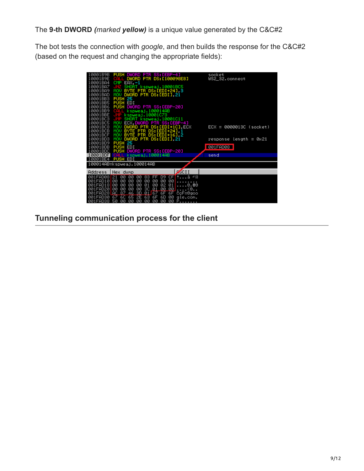The **9-th DWORD** *(marked yellow)* is a unique value generated by the C&C#2

The bot tests the connection with *google*, and then builds the response for the C&C#2 (based on the request and changing the appropriate fields):

| 10001B9B<br>10001B9E | PUSH DWORD PTR SS: [EBP-4]<br>DWORD PTR DS: [100098E8]<br>n           | socket<br>US2_32.connect   |
|----------------------|-----------------------------------------------------------------------|----------------------------|
| 10001BA4             | <b>CMP</b><br>$EAX, -1$                                               |                            |
| 10001BA7             | SHORT kspweaj.10001BC5                                                |                            |
| 10001BA9             | BYTE PTR DS: [EDI+24], 3<br>MOU                                       |                            |
| 10001BAD             | DWORD PTR DS: [EDI], 21<br>MOU                                        |                            |
| 10001BB3             | <b>PUSH 25</b>                                                        |                            |
| 10001BB5             | PUSH EDI                                                              |                            |
| 10001BB6             | PUSH DWORD PTR SS: [EBP-20]                                           |                            |
| 10001BB9             | kspweaj.100014AB<br>CALL.                                             |                            |
| 10001BBE             | kspweaj.10001C73                                                      |                            |
| 10001BC3             | SHORT kspweaj.10001C11<br>m                                           |                            |
| 10001BC5             | MOU<br>ECX, DWORD PTR SS: [EBP-4]                                     |                            |
| 10001BC8             | DWORD PTR DS:[EDI+1C],ECX<br>MOU                                      | $ECX = 0000013C$ (socket)  |
| 10001BCB             | BYTE PTR DS: [EDI+24] 1<br>MOU .                                      |                            |
| 10001BCF             | BYTE PTR DS: [EDI+16] 2<br>MOV                                        |                            |
| 10001BD3             | DWORD PTR DS: [EDI] 21<br>MOU                                         | $response$ length = $0x21$ |
| 10001BD9             | PUSH 25                                                               |                            |
| 10001BDB             |                                                                       | <b>001FAD08</b>            |
| 10001BDC<br>10001BDF | PUSH DWORD PTR SS: [EBP-20]<br><b>CALL</b>                            |                            |
| 10001BE4             | kspweaj.100014AB<br><b>PUSH EDI</b>                                   | send                       |
|                      |                                                                       |                            |
|                      | 100014AB=kspweaj.100014AB                                             |                            |
| Address              | $\sqrt{\frac{1}{2}}$ CII<br>Hex dump                                  |                            |
| 1FAD08               | 121<br>ᆜᅙ<br>ØЙ<br>00<br>00<br>83<br>CF.<br>ā<br>D9<br>FF             |                            |
| 001FAD10 00          | 00<br>00<br>00<br>00<br>øø<br>00<br>ØØ                                |                            |
| 001FAD18             | 00<br>00<br>00<br>00<br>00<br>01<br>02<br>01<br>0.80                  |                            |
| 001FAD20             | Q <sub>1</sub><br>00<br>00<br>00<br><b>3C</b><br>00<br>ØЙ<br>00<br><Θ |                            |
| 001FAD28 AC          | 46 3D<br>-87<br>01 67 6F<br>6F<br>CcF=0goo                            |                            |
| 001FAD30             | 67 60 65 2E 63 6F 6D 00 gle.com.                                      |                            |
|                      | 001FAD38 50 00 00 00 00 00 00 00 00 P                                 |                            |

**Tunneling communication process for the client**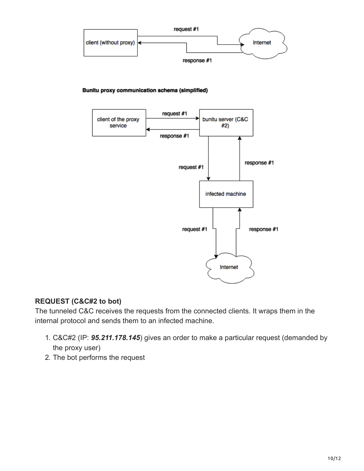

Bunitu proxy communication schema (simplified)



### **REQUEST (C&C#2 to bot)**

The tunneled C&C receives the requests from the connected clients. It wraps them in the internal protocol and sends them to an infected machine.

- 1. C&C#2 (IP: *95.211.178.145*) gives an order to make a particular request (demanded by the proxy user)
- 2. The bot performs the request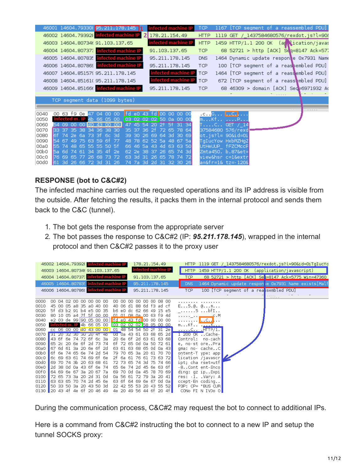|              | 46001 14604.793308 95.211.178.145 1    |  |  |                                                                   |                          |     | infected machine IP |                     | <b>TCP</b>  |                                        | 1167 [TCP segment of a reassembled PDU]   |  |  |  |   |  |
|--------------|----------------------------------------|--|--|-------------------------------------------------------------------|--------------------------|-----|---------------------|---------------------|-------------|----------------------------------------|-------------------------------------------|--|--|--|---|--|
|              | 46002 14604.793928 infected machine IP |  |  |                                                                   |                          |     | 2 178.21.154.49     |                     | <b>HTTP</b> |                                        | 1119 GET / 1437584680576/rexdot.js?l=908  |  |  |  |   |  |
|              | 46003 14604.80734(91.103.137.65        |  |  |                                                                   |                          |     | infected machine IP |                     | <b>HTTP</b> |                                        | 1459 HTTP/1.1 200 OK (april ication/javas |  |  |  |   |  |
|              | 46004 14604.80737: infected machine IP |  |  |                                                                   |                          |     | 91.103.137.65       |                     | <b>TCP</b>  |                                        | 68 52721 > http [ACK] Seg=8147 Ack=577    |  |  |  |   |  |
|              | 46005 14604.807835 infected machine IP |  |  |                                                                   |                          |     | 95.211.178.145      |                     | <b>DNS</b>  |                                        | 1464 Dynamic update responte 0x7931 Name  |  |  |  |   |  |
|              | 46006 14604.807869 infected machine IP |  |  |                                                                   |                          |     | 95.211.178.145      |                     | TCP         |                                        | 100 [TCP segment of a reassembled PDU]    |  |  |  |   |  |
|              | 46007 14604.851579 95.211.178.145      |  |  |                                                                   |                          |     |                     | infected machine IP | <b>TCP</b>  |                                        | 1464 [TCP segment of a reassembled PDU]   |  |  |  |   |  |
|              | 46008 14604.85161(95.211.178.145       |  |  |                                                                   |                          |     |                     | infected machine IP | <b>TCP</b>  |                                        | 672 [TCP segment of a reass mbled PDU]    |  |  |  |   |  |
|              | 46009 14604.85166( infected machine IP |  |  |                                                                   |                          |     | 95.211.178.145      |                     | <b>TCP</b>  |                                        | 68 46309 > domain [ACK] Sed=6971932 Ao    |  |  |  |   |  |
|              |                                        |  |  |                                                                   |                          |     |                     |                     |             |                                        |                                           |  |  |  |   |  |
|              | TCP segment data (1099 bytes)          |  |  |                                                                   |                          |     |                     |                     |             |                                        |                                           |  |  |  |   |  |
|              |                                        |  |  |                                                                   |                          |     |                     |                     |             |                                        |                                           |  |  |  | . |  |
| 0040         | 00 63 f9 0e 47 04 00 00                |  |  |                                                                   | fd e0 43 fd  00 00 00 00 |     |                     |                     |             | .c. .G. <mark>.</mark>                 |                                           |  |  |  |   |  |
| 0050         | infected m. IP 4b 66 05 00             |  |  |                                                                   | 03 02 02 02 50 0a 00 00  |     |                     |                     |             | mKf P                                  |                                           |  |  |  |   |  |
| 0060         |                                        |  |  | 09 00 00 d0 43 00 00                                              | 47 45 54 20 21 51 31 34  |     |                     |                     |             | 「C GET / 14                            |                                           |  |  |  |   |  |
| 0070<br>0080 | 133<br>l6f.<br>74                      |  |  | 37 35 38 34 36 38 30<br>2e 6a 73 3f 6c 3d 39 30 26 69 64 3d 30 69 | 35 37                    |     | 36 2f 72 65 78 64   |                     |             | 37584680 576/rexd<br>ot.js?l= 90&id=0i |                                           |  |  |  |   |  |
| 0090         |                                        |  |  | 67 49 75 63 59 6f 77                                              | 48 78 62 52 5a 48 67 5a  |     |                     |                     |             | TaIucYow HxbRZHaZ                      |                                           |  |  |  |   |  |
| 00a0         | <b>ISS</b>                             |  |  | 74 48 65 55 55 50 5f                                              | 66 46 5a 43 4d 63 63 50  |     |                     |                     |             | UtHeUUP fFZCMccP                       |                                           |  |  |  |   |  |
| oobo         | l5a.                                   |  |  | 6d 74 61 34 35 4f 2e                                              | 62 2e 38 37 26 65 74 3d  |     |                     |                     |             | Zmta450. b.87&et=                      |                                           |  |  |  |   |  |
| 00c0         | 76 69 65 77 26 68 73 72                |  |  |                                                                   | 63 3d 31 26 65 78 74 72  |     |                     |                     |             | view&hsr c=l&extr                      |                                           |  |  |  |   |  |
| 00d0         | <b>61</b>                              |  |  | 3d 26 66 72 3d 31 26                                              | 74 7a 3d                 | -2d | 31 32 30 26         |                     |             | a=&fr=1& tz=-120&                      |                                           |  |  |  |   |  |
|              |                                        |  |  |                                                                   |                          |     |                     |                     |             |                                        |                                           |  |  |  |   |  |

#### **RESPONSE (bot to C&C#2)**

The infected machine carries out the requested operations and its IP address is visible from the outside. After fetching the results, it packs them in the internal protocol and sends them back to the C&C (tunnel).

- 1. The bot gets the response from the appropriate server
- 2. The bot passes the response to C&C#2 (IP: *95.211.178.145*), wrapped in the internal protocol and then C&C#2 passes it to the proxy user

|                              | 46002 14604.793928 infected machine IP |  |  |  |  |  | 178.21.154.49 |                                 | HTTP 1119 GET / 1437584680576/rexdot.js?l=90&id=0iTgIucYo |                                               |  |  |                                       |  |  |  |                                                       |  |
|------------------------------|----------------------------------------|--|--|--|--|--|---------------|---------------------------------|-----------------------------------------------------------|-----------------------------------------------|--|--|---------------------------------------|--|--|--|-------------------------------------------------------|--|
|                              | 46003 14604.80734(91.103.137.65        |  |  |  |  |  |               | infected machine IP             | <b>HTTP</b>                                               | 1459 HTTP/1.1 200 OK (application/javascript) |  |  |                                       |  |  |  |                                                       |  |
|                              | 46004 14604.80737: infected machine IP |  |  |  |  |  | 91.103.137.65 |                                 | <b>TCP</b>                                                |                                               |  |  |                                       |  |  |  | 68 52721 > http [ACK] Ses:=8147 Ack=5775 Win=47360    |  |
|                              | 46005 14604.807835 infected machine IP |  |  |  |  |  |               | 95.211.178.145                  | <b>DNS</b>                                                |                                               |  |  |                                       |  |  |  | 1464 Dynamic update respon ie 0x7931 Name exists[Malf |  |
|                              | 46006 14604.807869 infected machine IP |  |  |  |  |  |               | 95.211.178.145                  | TCP                                                       |                                               |  |  | 100 [TCP segment of a reasembled PDU] |  |  |  |                                                       |  |
|                              |                                        |  |  |  |  |  |               |                                 |                                                           |                                               |  |  |                                       |  |  |  |                                                       |  |
| 0000                         | 00 04 02 00 00 00 00 00                |  |  |  |  |  |               | 00 00 00 00 00 00 08 00         |                                                           |                                               |  |  |                                       |  |  |  |                                                       |  |
| 0010                         | 45 00 05 a8 35 a0 40 00                |  |  |  |  |  |               | 40 06 dl 88 6d f3 ad cf         | $E5.0.0$ m                                                |                                               |  |  |                                       |  |  |  |                                                       |  |
| 0020                         | 5f d3 b2 91 b4 e5 00 35                |  |  |  |  |  |               | b6 e0 dc 62 66 49 15 e5         | $\_, \ldots \_5 \ldots$ bfI                               |                                               |  |  |                                       |  |  |  |                                                       |  |
| 0030                         | 80 10 05 a4 7f 5f 00 00                |  |  |  |  |  |               | <u>01 01 08 0a </u> 00 63 f9 4d |                                                           |                                               |  |  |                                       |  |  |  |                                                       |  |
| 0040                         | e2 03 de 99 90 05 00 00                |  |  |  |  |  |               | fd e0 43 fd 00 00 00 00         | . <mark>. C.</mark>                                       |                                               |  |  |                                       |  |  |  |                                                       |  |
| 0050                         | $infected m$ . IP 4b 66 05 00          |  |  |  |  |  |               | 03 02 02 02 58 05 00 00         | mKf . <u>X</u>                                            |                                               |  |  |                                       |  |  |  |                                                       |  |
| 0060                         | cc 06 00 00 d0 43 00 00                |  |  |  |  |  |               | 01 48 54 54 50 2† 31 2e         | <u>CFIITP/1.</u>                                          |                                               |  |  |                                       |  |  |  |                                                       |  |
| 0070                         | 31 20 32 30 30 20 4T 4D                |  |  |  |  |  |               | 0d 0a 43 61 63 68 65 2d         | 1 200 OK . Cache-                                         |                                               |  |  |                                       |  |  |  |                                                       |  |
| 0080                         | 43 6f 6e 74 72 6f 6c 3a                |  |  |  |  |  |               | 20 6e 6f 2d 63 61 63 68         | Control: no-cach                                          |                                               |  |  |                                       |  |  |  |                                                       |  |
| 0090                         | 65 2c 20 6e 6f 2d 73 74                |  |  |  |  |  |               | 6f 72 65 0d 0a 50 72 61         | e, no-st orePra                                           |                                               |  |  |                                       |  |  |  |                                                       |  |
| 00a0                         | 67 6d 61 3a 20 6e 6f 2d                |  |  |  |  |  |               | 63 61 63 68 65 0d 0a 43         | gma: no- cacheC                                           |                                               |  |  |                                       |  |  |  |                                                       |  |
| oobo                         | 6f 6e 74 65 6e 74 2d 54                |  |  |  |  |  |               | 79 70 65 3a 20 61 70 70         | ontent-T ype: app                                         |                                               |  |  |                                       |  |  |  |                                                       |  |
| 00c0                         | 6c 69 63 61 74 69 6f 6e                |  |  |  |  |  |               | 2f 6a 61 76 61 73 63 72         | lication /javascr                                         |                                               |  |  |                                       |  |  |  |                                                       |  |
| 00d0                         | 69 70 74 3b 20 63 68 61                |  |  |  |  |  |               | 72 73 65 74 3d 75 74 66         | ipt; cha rset=utf                                         |                                               |  |  |                                       |  |  |  |                                                       |  |
| 00e0                         | 2d 38 0d 0a 43 6f 6e 74                |  |  |  |  |  |               | 65 6e 74 2d 45 6e 63 6f         | -8Cont ent-Enco                                           |                                               |  |  |                                       |  |  |  |                                                       |  |
| oof⊙                         | 64 69 6e 67 3a 20 67 7a                |  |  |  |  |  |               | 69 70 0d 0a 45 78 70 69         | ding: gz ipExpi                                           |                                               |  |  |                                       |  |  |  |                                                       |  |
| 0100                         | 72 65 73 3a 20 2d 31 0d                |  |  |  |  |  |               | 0a 56 61 72 79 3a 20 41         | res: -l. .Vary: A                                         |                                               |  |  |                                       |  |  |  |                                                       |  |
| 0110                         | 63 63 65 70 74 2d 45 6e                |  |  |  |  |  |               | 63 6f 64 69 6e 67 0d 0a         | ccept-En coding                                           |                                               |  |  |                                       |  |  |  |                                                       |  |
| 0120                         | 50 33 50 3a 20 43 50 3d                |  |  |  |  |  |               | 22 42 55 53 20 43 55 52         | P3P: CP= "BUS CUR                                         |                                               |  |  |                                       |  |  |  |                                                       |  |
| 0130 20 43 4f 4e 6f 20 46 49 |                                        |  |  |  |  |  |               | 4e 20 49 56 44 6f 20 4f         | CONo FI N IVDo O                                          |                                               |  |  |                                       |  |  |  |                                                       |  |

During the communication process, C&C#2 may request the bot to connect to additional IPs.

Here is a command from C&C#2 instructing the bot to connect to a new IP and setup the tunnel SOCKS proxy: